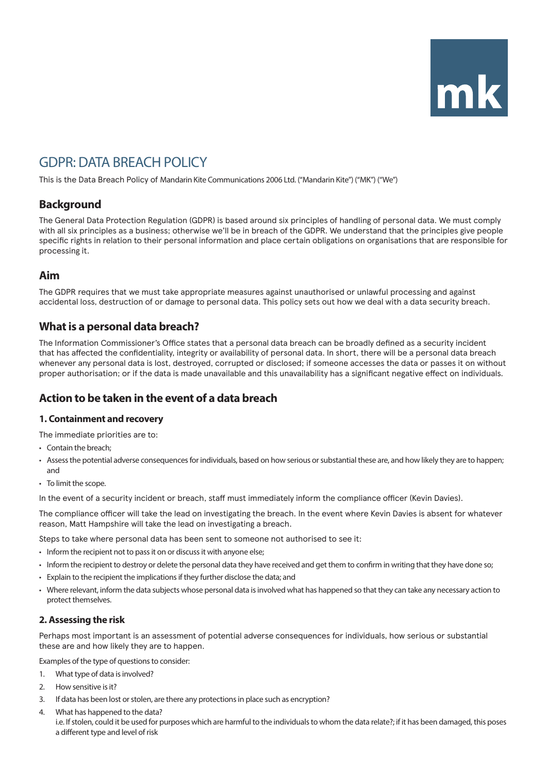| mk |  |
|----|--|

# GDPR: DATA BREACH POLICY

This is the Data Breach Policy of Mandarin Kite Communications 2006 Ltd. ("Mandarin Kite") ("MK") ("We")

# **Background**

The General Data Protection Regulation (GDPR) is based around six principles of handling of personal data. We must comply with all six principles as a business; otherwise we'll be in breach of the GDPR. We understand that the principles give people specific rights in relation to their personal information and place certain obligations on organisations that are responsible for processing it.

# **Aim**

The GDPR requires that we must take appropriate measures against unauthorised or unlawful processing and against accidental loss, destruction of or damage to personal data. This policy sets out how we deal with a data security breach.

# **What is a personal data breach?**

The Information Commissioner's Office states that a personal data breach can be broadly defined as a security incident that has affected the confidentiality, integrity or availability of personal data. In short, there will be a personal data breach whenever any personal data is lost, destroyed, corrupted or disclosed; if someone accesses the data or passes it on without proper authorisation; or if the data is made unavailable and this unavailability has a significant negative effect on individuals.

# **Action to be taken in the event of a data breach**

# **1. Containment and recovery**

The immediate priorities are to:

• Contain the breach;

- Assess the potential adverse consequences for individuals, based on how serious or substantial these are, and how likely they are to happen; and
- To limit the scope.

In the event of a security incident or breach, staff must immediately inform the compliance officer (Kevin Davies).

The compliance officer will take the lead on investigating the breach. In the event where Kevin Davies is absent for whatever reason, Matt Hampshire will take the lead on investigating a breach.

Steps to take where personal data has been sent to someone not authorised to see it:

- Inform the recipient not to pass it on or discuss it with anyone else;
- Inform the recipient to destroy or delete the personal data they have received and get them to confirm in writing that they have done so;
- Explain to the recipient the implications if they further disclose the data; and
- Where relevant, inform the data subjects whose personal data is involved what has happened so that they can take any necessary action to protect themselves.

# **2. Assessing the risk**

Perhaps most important is an assessment of potential adverse consequences for individuals, how serious or substantial these are and how likely they are to happen.

Examples of the type of questions to consider:

- 1. What type of data is involved?
- 2. How sensitive is it?
- 3. If data has been lost or stolen, are there any protections in place such as encryption?
- 4. What has happened to the data?

i.e. If stolen, could it be used for purposes which are harmful to the individuals to whom the data relate?; if it has been damaged, this poses a different type and level of risk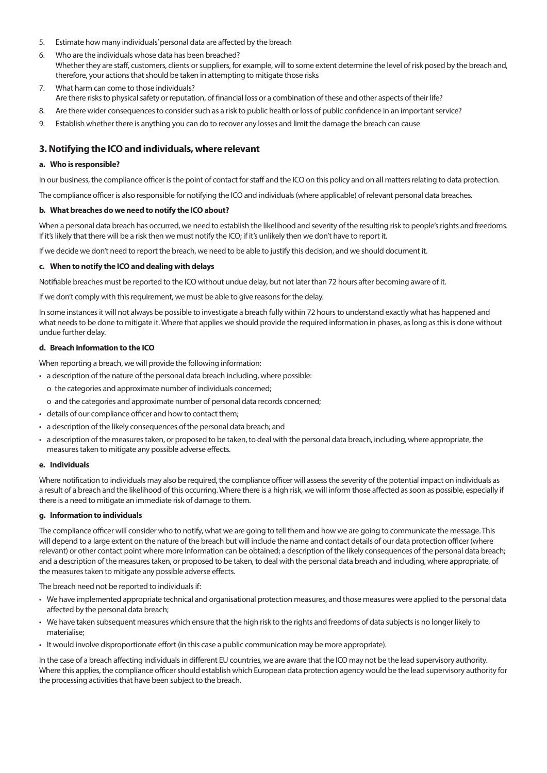- 5. Estimate how many individuals' personal data are affected by the breach
- 6. Who are the individuals whose data has been breached? Whether they are staff, customers, clients or suppliers, for example, will to some extent determine the level of risk posed by the breach and, therefore, your actions that should be taken in attempting to mitigate those risks
- 7. What harm can come to those individuals? Are there risks to physical safety or reputation, of financial loss or a combination of these and other aspects of their life?
- 8. Are there wider consequences to consider such as a risk to public health or loss of public confidence in an important service?
- 9. Establish whether there is anything you can do to recover any losses and limit the damage the breach can cause

### **3. Notifying the ICO and individuals, where relevant**

#### **a. Who is responsible?**

In our business, the compliance officer is the point of contact for staff and the ICO on this policy and on all matters relating to data protection.

The compliance officer is also responsible for notifying the ICO and individuals (where applicable) of relevant personal data breaches.

#### **b. What breaches do we need to notify the ICO about?**

When a personal data breach has occurred, we need to establish the likelihood and severity of the resulting risk to people's rights and freedoms. If it's likely that there will be a risk then we must notify the ICO; if it's unlikely then we don't have to report it.

If we decide we don't need to report the breach, we need to be able to justify this decision, and we should document it.

#### **c. When to notify the ICO and dealing with delays**

Notifiable breaches must be reported to the ICO without undue delay, but not later than 72 hours after becoming aware of it.

If we don't comply with this requirement, we must be able to give reasons for the delay.

In some instances it will not always be possible to investigate a breach fully within 72 hours to understand exactly what has happened and what needs to be done to mitigate it. Where that applies we should provide the required information in phases, as long as this is done without undue further delay.

#### **d. Breach information to the ICO**

When reporting a breach, we will provide the following information:

- a description of the nature of the personal data breach including, where possible:
	- o the categories and approximate number of individuals concerned;
	- o and the categories and approximate number of personal data records concerned;
- details of our compliance officer and how to contact them;
- a description of the likely consequences of the personal data breach; and
- a description of the measures taken, or proposed to be taken, to deal with the personal data breach, including, where appropriate, the measures taken to mitigate any possible adverse effects.

#### **e. Individuals**

Where notification to individuals may also be required, the compliance officer will assess the severity of the potential impact on individuals as a result of a breach and the likelihood of this occurring. Where there is a high risk, we will inform those affected as soon as possible, especially if there is a need to mitigate an immediate risk of damage to them.

#### **g. Information to individuals**

The compliance officer will consider who to notify, what we are going to tell them and how we are going to communicate the message. This will depend to a large extent on the nature of the breach but will include the name and contact details of our data protection officer (where relevant) or other contact point where more information can be obtained; a description of the likely consequences of the personal data breach; and a description of the measures taken, or proposed to be taken, to deal with the personal data breach and including, where appropriate, of the measures taken to mitigate any possible adverse effects.

The breach need not be reported to individuals if:

- We have implemented appropriate technical and organisational protection measures, and those measures were applied to the personal data affected by the personal data breach;
- We have taken subsequent measures which ensure that the high risk to the rights and freedoms of data subjects is no longer likely to materialise;
- It would involve disproportionate effort (in this case a public communication may be more appropriate).

In the case of a breach affecting individuals in different EU countries, we are aware that the ICO may not be the lead supervisory authority. Where this applies, the compliance officer should establish which European data protection agency would be the lead supervisory authority for the processing activities that have been subject to the breach.